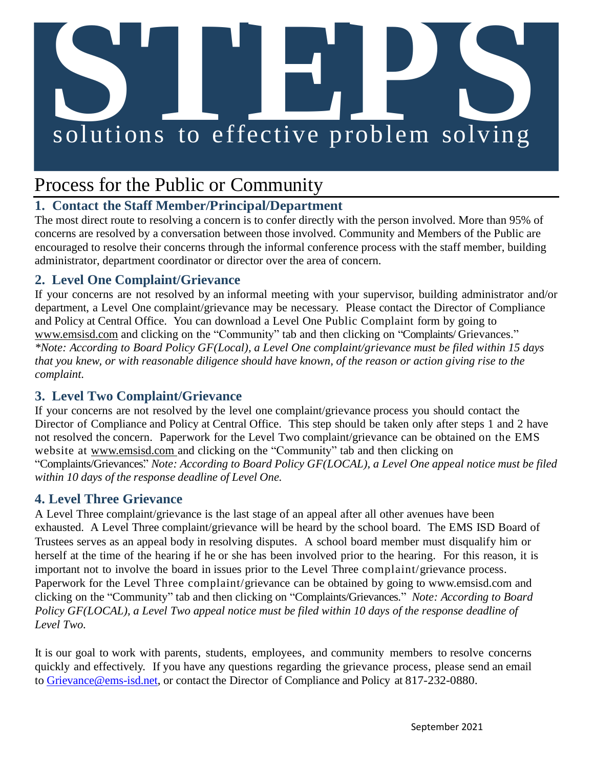# **S**<br> **Solutions** to effective problem solving

# Process for the Public or Community

## **1. Contact the Staff Member/Principal/Department**

The most direct route to resolving a concern is to confer directly with the person involved. More than 95% of concerns are resolved by a conversation between those involved. Community and Members of the Public are encouraged to resolve their concerns through the informal conference process with the staff member, building administrator, department coordinator or director over the area of concern.

### **2. Level One Complaint/Grievance**

If your concerns are not resolved by an informal meeting with your supervisor, building administrator and/or department, a Level One complaint/grievance may be necessary. Please contact the Director of Compliance and Policy at Central Office. You can download a Level One Public Complaint form by going to [www.emsisd.com](http://www.emsisd.com/) and clicking on the "Community" tab and then clicking on "Complaints/ Grievances." *\*Note: According to Board Policy GF(Local), a Level One complaint/grievance must be filed within 15 days that you knew, or with reasonable diligence should have known, of the reason or action giving rise to the complaint.*

### **3. Level Two Complaint/Grievance**

If your concerns are not resolved by the level one complaint/grievance process you should contact the Director of Compliance and Policy at Central Office. This step should be taken only after steps 1 and 2 have not resolved the concern. Paperwork for the Level Two complaint/grievance can be obtained on the EMS website at [www.emsisd.com a](http://www.emsisd.com/)nd clicking on the "Community" tab and then clicking on "Complaints/Grievances." *Note: According to Board Policy GF(LOCAL), a Level One appeal notice must be filed within 10 days of the response deadline of Level One.*

### **4. Level Three Grievance**

A Level Three complaint/grievance is the last stage of an appeal after all other avenues have been exhausted. A Level Three complaint/grievance will be heard by the school board. The EMS ISD Board of Trustees serves as an appeal body in resolving disputes. A school board member must disqualify him or herself at the time of the hearing if he or she has been involved prior to the hearing. For this reason, it is important not to involve the board in issues prior to the Level Three complaint/grievance process. Paperwork for the Level Three complaint/grievance can be obtained by going to [www.emsisd.com](http://www.emsisd.com/) and clicking on the "Community" tab and then clicking on "Complaints/Grievances." *Note: According to Board Policy GF(LOCAL), a Level Two appeal notice must be filed within 10 days of the response deadline of Level Two.*

It is our goal to work with parents, students, employees, and community members to resolve concerns quickly and effectively. If you have any questions regarding the grievance process, please send an email to [Grievance@ems-isd.net,](mailto:Grievance@ems-isd.net) or contact the Director of Compliance and Policy at 817-232-0880.